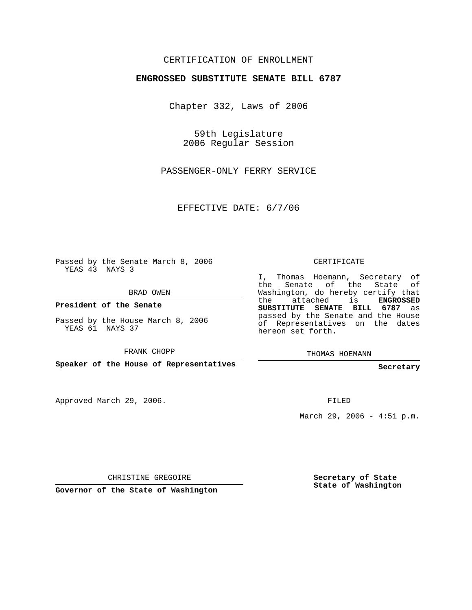## CERTIFICATION OF ENROLLMENT

## **ENGROSSED SUBSTITUTE SENATE BILL 6787**

Chapter 332, Laws of 2006

59th Legislature 2006 Regular Session

PASSENGER-ONLY FERRY SERVICE

EFFECTIVE DATE: 6/7/06

Passed by the Senate March 8, 2006 YEAS 43 NAYS 3

BRAD OWEN

**President of the Senate**

Passed by the House March 8, 2006 YEAS 61 NAYS 37

FRANK CHOPP

**Speaker of the House of Representatives**

Approved March 29, 2006.

CERTIFICATE

I, Thomas Hoemann, Secretary of the Senate of the State of Washington, do hereby certify that the attached is **ENGROSSED SUBSTITUTE SENATE BILL 6787** as passed by the Senate and the House of Representatives on the dates hereon set forth.

THOMAS HOEMANN

**Secretary**

FILED

March 29, 2006 - 4:51 p.m.

CHRISTINE GREGOIRE

**Governor of the State of Washington**

**Secretary of State State of Washington**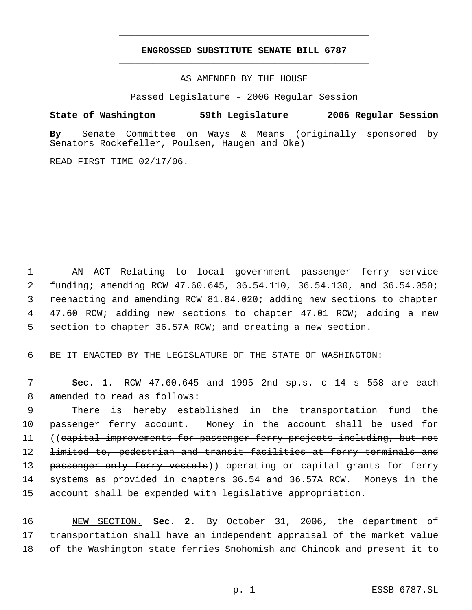## **ENGROSSED SUBSTITUTE SENATE BILL 6787** \_\_\_\_\_\_\_\_\_\_\_\_\_\_\_\_\_\_\_\_\_\_\_\_\_\_\_\_\_\_\_\_\_\_\_\_\_\_\_\_\_\_\_\_\_

\_\_\_\_\_\_\_\_\_\_\_\_\_\_\_\_\_\_\_\_\_\_\_\_\_\_\_\_\_\_\_\_\_\_\_\_\_\_\_\_\_\_\_\_\_

AS AMENDED BY THE HOUSE

Passed Legislature - 2006 Regular Session

## **State of Washington 59th Legislature 2006 Regular Session**

**By** Senate Committee on Ways & Means (originally sponsored by Senators Rockefeller, Poulsen, Haugen and Oke)

READ FIRST TIME 02/17/06.

 AN ACT Relating to local government passenger ferry service funding; amending RCW 47.60.645, 36.54.110, 36.54.130, and 36.54.050; reenacting and amending RCW 81.84.020; adding new sections to chapter 47.60 RCW; adding new sections to chapter 47.01 RCW; adding a new section to chapter 36.57A RCW; and creating a new section.

6 BE IT ENACTED BY THE LEGISLATURE OF THE STATE OF WASHINGTON:

 7 **Sec. 1.** RCW 47.60.645 and 1995 2nd sp.s. c 14 s 558 are each 8 amended to read as follows:

 9 There is hereby established in the transportation fund the 10 passenger ferry account. Money in the account shall be used for 11 ((c<del>apital improvements for passenger ferry projects including, but not</del> 12 limited to, pedestrian and transit facilities at ferry terminals and 13 passenger-only ferry vessels)) operating or capital grants for ferry 14 systems as provided in chapters 36.54 and 36.57A RCW. Moneys in the 15 account shall be expended with legislative appropriation.

16 NEW SECTION. **Sec. 2.** By October 31, 2006, the department of 17 transportation shall have an independent appraisal of the market value 18 of the Washington state ferries Snohomish and Chinook and present it to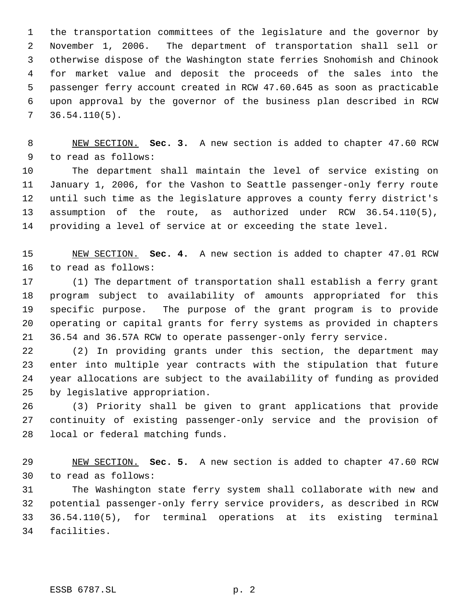the transportation committees of the legislature and the governor by November 1, 2006. The department of transportation shall sell or otherwise dispose of the Washington state ferries Snohomish and Chinook for market value and deposit the proceeds of the sales into the passenger ferry account created in RCW 47.60.645 as soon as practicable upon approval by the governor of the business plan described in RCW 36.54.110(5).

 NEW SECTION. **Sec. 3.** A new section is added to chapter 47.60 RCW to read as follows:

 The department shall maintain the level of service existing on January 1, 2006, for the Vashon to Seattle passenger-only ferry route until such time as the legislature approves a county ferry district's assumption of the route, as authorized under RCW 36.54.110(5), providing a level of service at or exceeding the state level.

 NEW SECTION. **Sec. 4.** A new section is added to chapter 47.01 RCW to read as follows:

 (1) The department of transportation shall establish a ferry grant program subject to availability of amounts appropriated for this specific purpose. The purpose of the grant program is to provide operating or capital grants for ferry systems as provided in chapters 36.54 and 36.57A RCW to operate passenger-only ferry service.

 (2) In providing grants under this section, the department may enter into multiple year contracts with the stipulation that future year allocations are subject to the availability of funding as provided by legislative appropriation.

 (3) Priority shall be given to grant applications that provide continuity of existing passenger-only service and the provision of local or federal matching funds.

 NEW SECTION. **Sec. 5.** A new section is added to chapter 47.60 RCW to read as follows:

 The Washington state ferry system shall collaborate with new and potential passenger-only ferry service providers, as described in RCW 36.54.110(5), for terminal operations at its existing terminal facilities.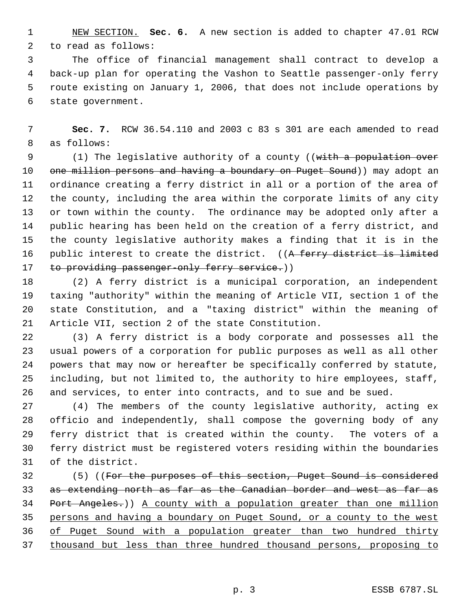NEW SECTION. **Sec. 6.** A new section is added to chapter 47.01 RCW to read as follows:

 The office of financial management shall contract to develop a back-up plan for operating the Vashon to Seattle passenger-only ferry route existing on January 1, 2006, that does not include operations by state government.

 **Sec. 7.** RCW 36.54.110 and 2003 c 83 s 301 are each amended to read as follows:

9 (1) The legislative authority of a county ((with a population over 10 one million persons and having a boundary on Puget Sound)) may adopt an ordinance creating a ferry district in all or a portion of the area of the county, including the area within the corporate limits of any city or town within the county. The ordinance may be adopted only after a public hearing has been held on the creation of a ferry district, and the county legislative authority makes a finding that it is in the 16 public interest to create the district. ((A ferry district is limited 17 to providing passenger-only ferry service.))

 (2) A ferry district is a municipal corporation, an independent taxing "authority" within the meaning of Article VII, section 1 of the state Constitution, and a "taxing district" within the meaning of Article VII, section 2 of the state Constitution.

 (3) A ferry district is a body corporate and possesses all the usual powers of a corporation for public purposes as well as all other powers that may now or hereafter be specifically conferred by statute, including, but not limited to, the authority to hire employees, staff, and services, to enter into contracts, and to sue and be sued.

 (4) The members of the county legislative authority, acting ex officio and independently, shall compose the governing body of any ferry district that is created within the county. The voters of a ferry district must be registered voters residing within the boundaries of the district.

32 (5) ((For the purposes of this section, Puget Sound is considered 33 as extending north as far as the Canadian border and west as far as Port Angeles.)) A county with a population greater than one million persons and having a boundary on Puget Sound, or a county to the west of Puget Sound with a population greater than two hundred thirty thousand but less than three hundred thousand persons, proposing to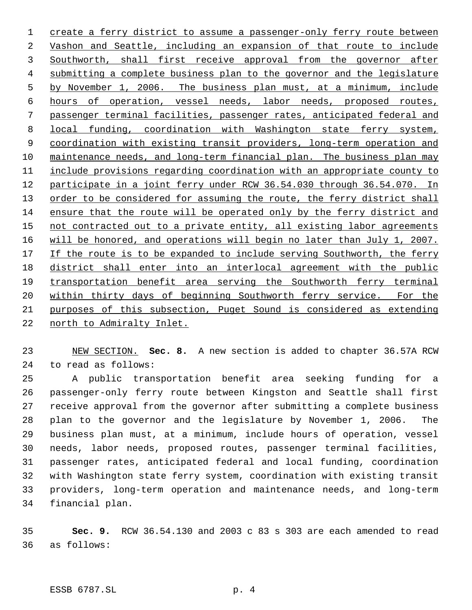create a ferry district to assume a passenger-only ferry route between Vashon and Seattle, including an expansion of that route to include Southworth, shall first receive approval from the governor after submitting a complete business plan to the governor and the legislature by November 1, 2006. The business plan must, at a minimum, include hours of operation, vessel needs, labor needs, proposed routes, passenger terminal facilities, passenger rates, anticipated federal and local funding, coordination with Washington state ferry system, coordination with existing transit providers, long-term operation and maintenance needs, and long-term financial plan. The business plan may include provisions regarding coordination with an appropriate county to participate in a joint ferry under RCW 36.54.030 through 36.54.070. In 13 order to be considered for assuming the route, the ferry district shall ensure that the route will be operated only by the ferry district and 15 not contracted out to a private entity, all existing labor agreements will be honored, and operations will begin no later than July 1, 2007. 17 If the route is to be expanded to include serving Southworth, the ferry district shall enter into an interlocal agreement with the public transportation benefit area serving the Southworth ferry terminal 20 within thirty days of beginning Southworth ferry service. For the purposes of this subsection, Puget Sound is considered as extending north to Admiralty Inlet.

 NEW SECTION. **Sec. 8.** A new section is added to chapter 36.57A RCW to read as follows:

 A public transportation benefit area seeking funding for a passenger-only ferry route between Kingston and Seattle shall first receive approval from the governor after submitting a complete business plan to the governor and the legislature by November 1, 2006. The business plan must, at a minimum, include hours of operation, vessel needs, labor needs, proposed routes, passenger terminal facilities, passenger rates, anticipated federal and local funding, coordination with Washington state ferry system, coordination with existing transit providers, long-term operation and maintenance needs, and long-term financial plan.

 **Sec. 9.** RCW 36.54.130 and 2003 c 83 s 303 are each amended to read as follows: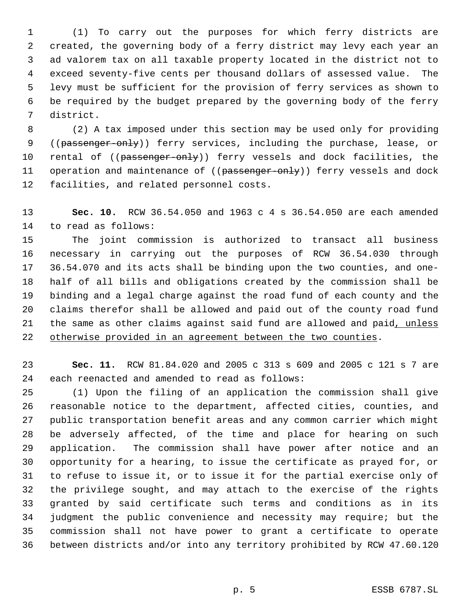(1) To carry out the purposes for which ferry districts are created, the governing body of a ferry district may levy each year an ad valorem tax on all taxable property located in the district not to exceed seventy-five cents per thousand dollars of assessed value. The levy must be sufficient for the provision of ferry services as shown to be required by the budget prepared by the governing body of the ferry district.

 (2) A tax imposed under this section may be used only for providing 9 ((passenger-only)) ferry services, including the purchase, lease, or 10 rental of ((passenger-only)) ferry vessels and dock facilities, the 11 operation and maintenance of ((passenger-only)) ferry vessels and dock facilities, and related personnel costs.

 **Sec. 10.** RCW 36.54.050 and 1963 c 4 s 36.54.050 are each amended to read as follows:

 The joint commission is authorized to transact all business necessary in carrying out the purposes of RCW 36.54.030 through 36.54.070 and its acts shall be binding upon the two counties, and one- half of all bills and obligations created by the commission shall be binding and a legal charge against the road fund of each county and the claims therefor shall be allowed and paid out of the county road fund 21 the same as other claims against said fund are allowed and paid, unless otherwise provided in an agreement between the two counties.

 **Sec. 11.** RCW 81.84.020 and 2005 c 313 s 609 and 2005 c 121 s 7 are each reenacted and amended to read as follows:

 (1) Upon the filing of an application the commission shall give reasonable notice to the department, affected cities, counties, and public transportation benefit areas and any common carrier which might be adversely affected, of the time and place for hearing on such application. The commission shall have power after notice and an opportunity for a hearing, to issue the certificate as prayed for, or to refuse to issue it, or to issue it for the partial exercise only of the privilege sought, and may attach to the exercise of the rights granted by said certificate such terms and conditions as in its judgment the public convenience and necessity may require; but the commission shall not have power to grant a certificate to operate between districts and/or into any territory prohibited by RCW 47.60.120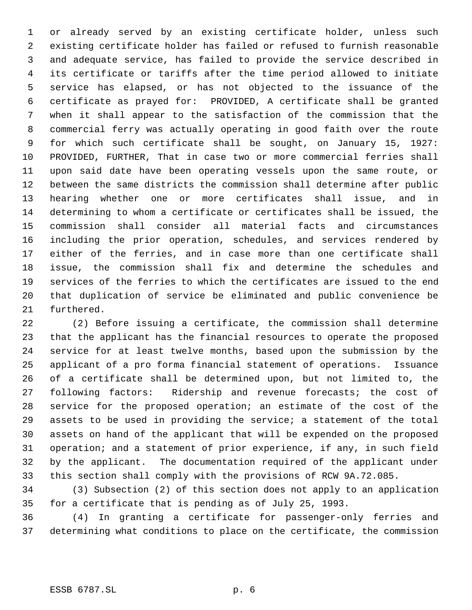or already served by an existing certificate holder, unless such existing certificate holder has failed or refused to furnish reasonable and adequate service, has failed to provide the service described in its certificate or tariffs after the time period allowed to initiate service has elapsed, or has not objected to the issuance of the certificate as prayed for: PROVIDED, A certificate shall be granted when it shall appear to the satisfaction of the commission that the commercial ferry was actually operating in good faith over the route for which such certificate shall be sought, on January 15, 1927: PROVIDED, FURTHER, That in case two or more commercial ferries shall upon said date have been operating vessels upon the same route, or between the same districts the commission shall determine after public hearing whether one or more certificates shall issue, and in determining to whom a certificate or certificates shall be issued, the commission shall consider all material facts and circumstances including the prior operation, schedules, and services rendered by either of the ferries, and in case more than one certificate shall issue, the commission shall fix and determine the schedules and services of the ferries to which the certificates are issued to the end that duplication of service be eliminated and public convenience be furthered.

 (2) Before issuing a certificate, the commission shall determine that the applicant has the financial resources to operate the proposed service for at least twelve months, based upon the submission by the applicant of a pro forma financial statement of operations. Issuance of a certificate shall be determined upon, but not limited to, the following factors: Ridership and revenue forecasts; the cost of service for the proposed operation; an estimate of the cost of the assets to be used in providing the service; a statement of the total assets on hand of the applicant that will be expended on the proposed operation; and a statement of prior experience, if any, in such field by the applicant. The documentation required of the applicant under this section shall comply with the provisions of RCW 9A.72.085.

 (3) Subsection (2) of this section does not apply to an application for a certificate that is pending as of July 25, 1993.

 (4) In granting a certificate for passenger-only ferries and determining what conditions to place on the certificate, the commission